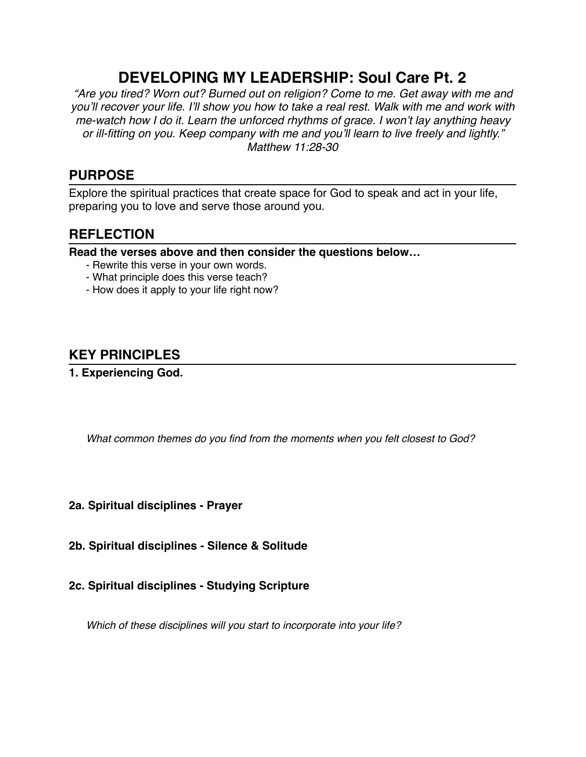# **DEVELOPING MY LEADERSHIP: Soul Care Pt. 2**

*"Are you tired? Worn out? Burned out on religion? Come to me. Get away with me and you'll recover your life. I'll show you how to take a real rest. Walk with me and work with me-watch how I do it. Learn the unforced rhythms of grace. I won't lay anything heavy or ill-fitting on you. Keep company with me and you'll learn to live freely and lightly." Matthew 11:28-30*

### **PURPOSE**

Explore the spiritual practices that create space for God to speak and act in your life, preparing you to love and serve those around you.

### **REFLECTION**

**Read the verses above and then consider the questions below…**

- Rewrite this verse in your own words.
- What principle does this verse teach?
- How does it apply to your life right now?

## **KEY PRINCIPLES**

#### **1. Experiencing God.**

*What common themes do you find from the moments when you felt closest to God?*

#### **2a. Spiritual disciplines - Prayer**

- **2b. Spiritual disciplines Silence & Solitude**
- **2c. Spiritual disciplines Studying Scripture**

*Which of these disciplines will you start to incorporate into your life?*